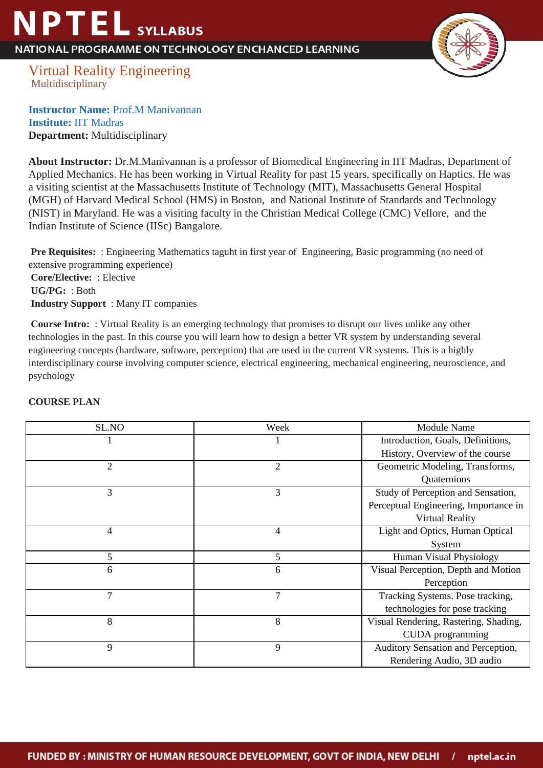## **NPTEL** SYLLABUS

NATIONAL PROGRAMME ON TECHNOLOGY ENCHANCED LEARNING



Virtual Reality Engineering Multidisciplinary

**Instructor Name:** Prof.M Manivannan **Institute:** IIT Madras **Department:** Multidisciplinary

**About Instructor:** Dr.M.Manivannan is a professor of Biomedical Engineering in IIT Madras, Department of Applied Mechanics. He has been working in Virtual Reality for past 15 years, specifically on Haptics. He was a visiting scientist at the Massachusetts Institute of Technology (MIT), Massachusetts General Hospital (MGH) of Harvard Medical School (HMS) in Boston, and National Institute of Standards and Technology (NIST) in Maryland. He was a visiting faculty in the Christian Medical College (CMC) Vellore, and the Indian Institute of Science (IISc) Bangalore.

**Pre Requisites:** : Engineering Mathematics taguht in first year of Engineering, Basic programming (no need of extensive programming experience)  **Core/Elective:** : Elective  **UG/PG:** : Both  **Industry Support** : Many IT companies

**Course Intro:** : Virtual Reality is an emerging technology that promises to disrupt our lives unlike any other technologies in the past. In this course you will learn how to design a better VR system by understanding several engineering concepts (hardware, software, perception) that are used in the current VR systems. This is a highly interdisciplinary course involving computer science, electrical engineering, mechanical engineering, neuroscience, and psychology

| SL.NO          | Week | Module Name                           |
|----------------|------|---------------------------------------|
|                |      | Introduction, Goals, Definitions,     |
|                |      | History, Overview of the course       |
| $\overline{2}$ | 2    | Geometric Modeling, Transforms,       |
|                |      | Quaternions                           |
| 3              | 3    | Study of Perception and Sensation,    |
|                |      | Perceptual Engineering, Importance in |
|                |      | <b>Virtual Reality</b>                |
| 4              | 4    | Light and Optics, Human Optical       |
|                |      | System                                |
| 5              | 5    | Human Visual Physiology               |
| 6              | 6    | Visual Perception, Depth and Motion   |
|                |      | Perception                            |
| 7              | 7    | Tracking Systems. Pose tracking,      |
|                |      | technologies for pose tracking        |
| 8              | 8    | Visual Rendering, Rastering, Shading, |
|                |      | <b>CUDA</b> programming               |
| 9              | 9    | Auditory Sensation and Perception,    |
|                |      | Rendering Audio, 3D audio             |

## **COURSE PLAN**